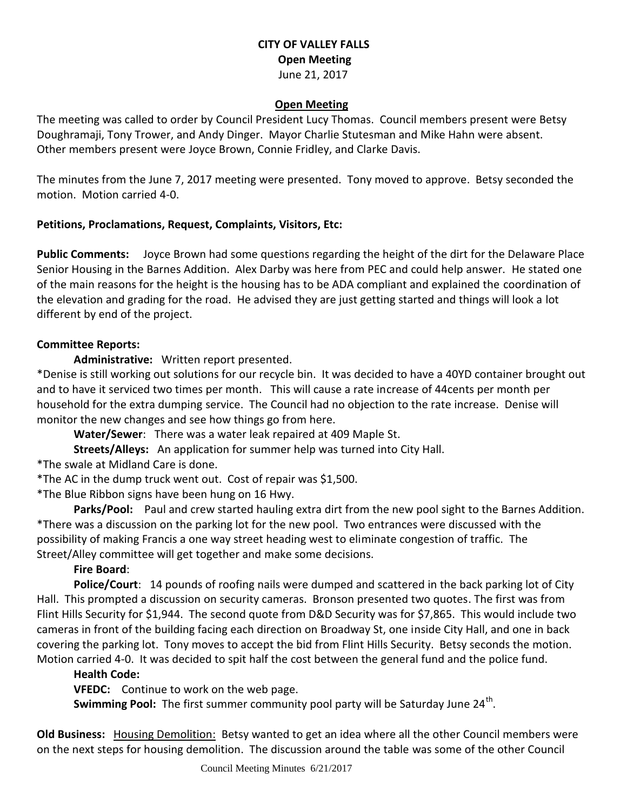### **CITY OF VALLEY FALLS Open Meeting** June 21, 2017

#### **Open Meeting**

The meeting was called to order by Council President Lucy Thomas. Council members present were Betsy Doughramaji, Tony Trower, and Andy Dinger. Mayor Charlie Stutesman and Mike Hahn were absent. Other members present were Joyce Brown, Connie Fridley, and Clarke Davis.

The minutes from the June 7, 2017 meeting were presented. Tony moved to approve. Betsy seconded the motion. Motion carried 4-0.

#### **Petitions, Proclamations, Request, Complaints, Visitors, Etc:**

**Public Comments:** Joyce Brown had some questions regarding the height of the dirt for the Delaware Place Senior Housing in the Barnes Addition. Alex Darby was here from PEC and could help answer. He stated one of the main reasons for the height is the housing has to be ADA compliant and explained the coordination of the elevation and grading for the road. He advised they are just getting started and things will look a lot different by end of the project.

### **Committee Reports:**

**Administrative:** Written report presented.

\*Denise is still working out solutions for our recycle bin. It was decided to have a 40YD container brought out and to have it serviced two times per month. This will cause a rate increase of 44cents per month per household for the extra dumping service. The Council had no objection to the rate increase. Denise will monitor the new changes and see how things go from here.

**Water/Sewer**: There was a water leak repaired at 409 Maple St.

**Streets/Alleys:** An application for summer help was turned into City Hall.

\*The swale at Midland Care is done.

\*The AC in the dump truck went out. Cost of repair was \$1,500.

\*The Blue Ribbon signs have been hung on 16 Hwy.

**Parks/Pool:** Paul and crew started hauling extra dirt from the new pool sight to the Barnes Addition. \*There was a discussion on the parking lot for the new pool. Two entrances were discussed with the possibility of making Francis a one way street heading west to eliminate congestion of traffic. The Street/Alley committee will get together and make some decisions.

## **Fire Board**:

**Police/Court**: 14 pounds of roofing nails were dumped and scattered in the back parking lot of City Hall. This prompted a discussion on security cameras. Bronson presented two quotes. The first was from Flint Hills Security for \$1,944. The second quote from D&D Security was for \$7,865. This would include two cameras in front of the building facing each direction on Broadway St, one inside City Hall, and one in back covering the parking lot. Tony moves to accept the bid from Flint Hills Security. Betsy seconds the motion. Motion carried 4-0. It was decided to spit half the cost between the general fund and the police fund.

## **Health Code:**

**VFEDC:** Continue to work on the web page.

**Swimming Pool:** The first summer community pool party will be Saturday June 24<sup>th</sup>.

**Old Business:** Housing Demolition: Betsy wanted to get an idea where all the other Council members were on the next steps for housing demolition. The discussion around the table was some of the other Council